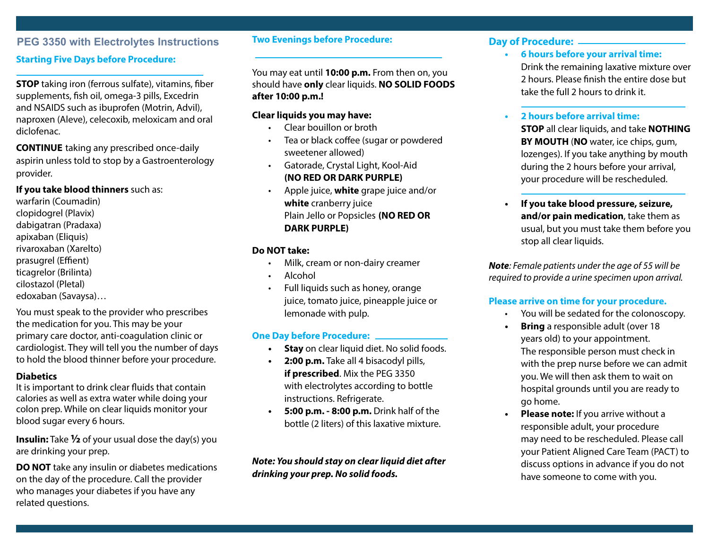## **PEG 3350 with Electrolytes Instructions**

## **Starting Five Days before Procedure:**

**STOP** taking iron (ferrous sulfate), vitamins, fiber supplements, fish oil, omega-3 pills, Excedrin and NSAIDS such as ibuprofen (Motrin, Advil), naproxen (Aleve), celecoxib, meloxicam and oral diclofenac.

**CONTINUE** taking any prescribed once-daily aspirin unless told to stop by a Gastroenterology provider.

**If you take blood thinners** such as:

warfarin (Coumadin) clopidogrel (Plavix) dabigatran (Pradaxa) apixaban (Eliquis) rivaroxaban (Xarelto) prasugrel (Effient) ticagrelor (Brilinta) cilostazol (Pletal) edoxaban (Savaysa)…

You must speak to the provider who prescribes the medication for you. This may be your primary care doctor, anti-coagulation clinic or cardiologist. They will tell you the number of days to hold the blood thinner before your procedure.

## **Diabetics**

It is important to drink clear fluids that contain calories as well as extra water while doing your colon prep. While on clear liquids monitor your blood sugar every 6 hours.

**Insulin:** Take **½** of your usual dose the day(s) you are drinking your prep.

**DO NOT** take any insulin or diabetes medications on the day of the procedure. Call the provider who manages your diabetes if you have any related questions.

### **Two Evenings before Procedure:**

You may eat until **10:00 p.m.** From then on, you should have **only** clear liquids. **NO SOLID FOODS after 10:00 p.m.!**

## **Clear liquids you may have:**

- Clear bouillon or broth
- Tea or black coffee (sugar or powdered sweetener allowed)
- Gatorade, Crystal Light, Kool-Aid **(NO RED OR DARK PURPLE)**
- Apple juice, **white** grape juice and/or **white** cranberry juice Plain Jello or Popsicles **(NO RED OR DARK PURPLE)**

## **Do NOT take:**

- Milk, cream or non-dairy creamer
- Alcohol
- Full liquids such as honey, orange juice, tomato juice, pineapple juice or lemonade with pulp.

## **One Day before Procedure:**

- **• Stay** on clear liquid diet. No solid foods.
- **• 2:00 p.m.** Take all 4 bisacodyl pills, **if prescribed**. Mix the PEG 3350 with electrolytes according to bottle instructions. Refrigerate.
- **• 5:00 p.m. 8:00 p.m.** Drink half of the bottle (2 liters) of this laxative mixture.

*Note: You should stay on clear liquid diet after drinking your prep. No solid foods.*

## **Day of Procedure:**

**• 6 hours before your arrival time:** Drink the remaining laxative mixture over 2 hours. Please finish the entire dose but take the full 2 hours to drink it.

## **• 2 hours before arrival time:**

**STOP** all clear liquids, and take **NOTHING BY MOUTH** (**NO** water, ice chips, gum, lozenges). If you take anything by mouth during the 2 hours before your arrival, your procedure will be rescheduled.

**• If you take blood pressure, seizure, and/or pain medication**, take them as usual, but you must take them before you stop all clear liquids.

*Note: Female patients under the age of 55 will be required to provide a urine specimen upon arrival.*

## **Please arrive on time for your procedure.**

- You will be sedated for the colonoscopy.
- **• Bring** a responsible adult (over 18 years old) to your appointment. The responsible person must check in with the prep nurse before we can admit you. We will then ask them to wait on hospital grounds until you are ready to go home.
- **• Please note:** If you arrive without a responsible adult, your procedure may need to be rescheduled. Please call your Patient Aligned Care Team (PACT) to discuss options in advance if you do not have someone to come with you.